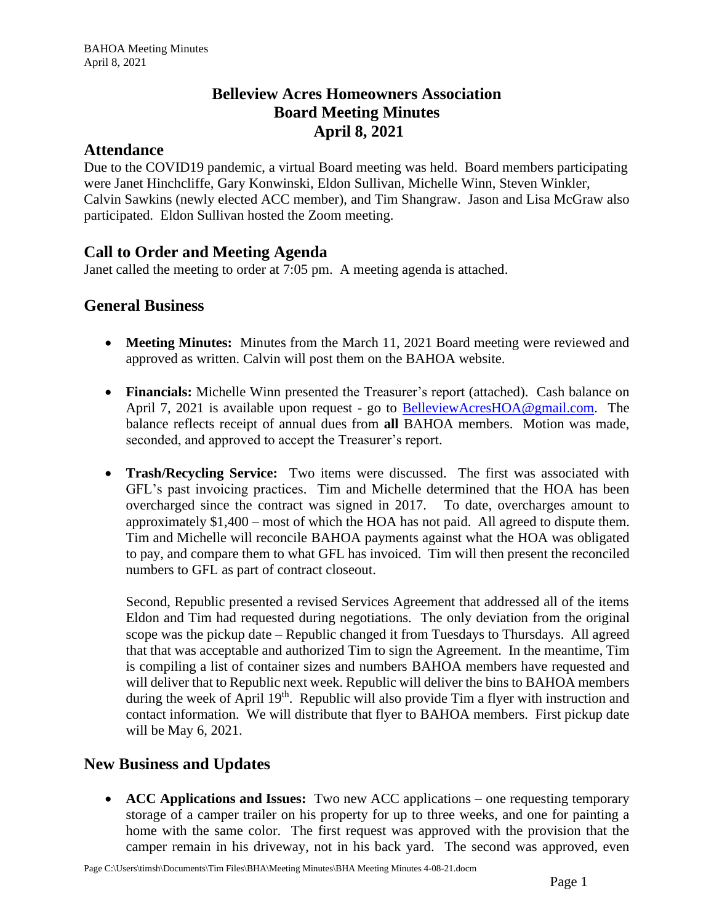# **Belleview Acres Homeowners Association Board Meeting Minutes April 8, 2021**

#### **Attendance**

Due to the COVID19 pandemic, a virtual Board meeting was held. Board members participating were Janet Hinchcliffe, Gary Konwinski, Eldon Sullivan, Michelle Winn, Steven Winkler, Calvin Sawkins (newly elected ACC member), and Tim Shangraw. Jason and Lisa McGraw also participated. Eldon Sullivan hosted the Zoom meeting.

# **Call to Order and Meeting Agenda**

Janet called the meeting to order at 7:05 pm. A meeting agenda is attached.

### **General Business**

- **Meeting Minutes:** Minutes from the March 11, 2021 Board meeting were reviewed and approved as written. Calvin will post them on the BAHOA website.
- **Financials:** Michelle Winn presented the Treasurer's report (attached). Cash balance on April 7, 2021 is available upon request - go to [BelleviewAcresHOA@gmail.com.](mailto:BelleviewAcresHOA@gmail.com) The balance reflects receipt of annual dues from **all** BAHOA members. Motion was made, seconded, and approved to accept the Treasurer's report.
- **Trash/Recycling Service:** Two items were discussed. The first was associated with GFL's past invoicing practices. Tim and Michelle determined that the HOA has been overcharged since the contract was signed in 2017. To date, overcharges amount to approximately \$1,400 – most of which the HOA has not paid. All agreed to dispute them. Tim and Michelle will reconcile BAHOA payments against what the HOA was obligated to pay, and compare them to what GFL has invoiced. Tim will then present the reconciled numbers to GFL as part of contract closeout.

Second, Republic presented a revised Services Agreement that addressed all of the items Eldon and Tim had requested during negotiations. The only deviation from the original scope was the pickup date – Republic changed it from Tuesdays to Thursdays. All agreed that that was acceptable and authorized Tim to sign the Agreement. In the meantime, Tim is compiling a list of container sizes and numbers BAHOA members have requested and will deliver that to Republic next week. Republic will deliver the bins to BAHOA members during the week of April 19<sup>th</sup>. Republic will also provide Tim a flyer with instruction and contact information. We will distribute that flyer to BAHOA members. First pickup date will be May 6, 2021.

# **New Business and Updates**

• **ACC Applications and Issues:** Two new ACC applications – one requesting temporary storage of a camper trailer on his property for up to three weeks, and one for painting a home with the same color. The first request was approved with the provision that the camper remain in his driveway, not in his back yard. The second was approved, even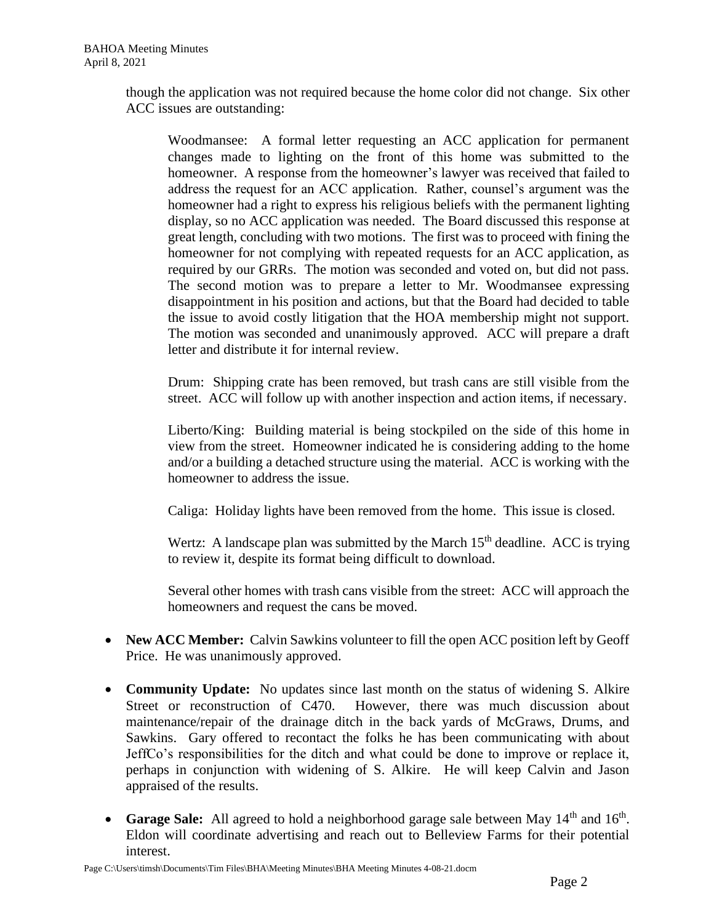though the application was not required because the home color did not change. Six other ACC issues are outstanding:

Woodmansee: A formal letter requesting an ACC application for permanent changes made to lighting on the front of this home was submitted to the homeowner. A response from the homeowner's lawyer was received that failed to address the request for an ACC application. Rather, counsel's argument was the homeowner had a right to express his religious beliefs with the permanent lighting display, so no ACC application was needed. The Board discussed this response at great length, concluding with two motions. The first was to proceed with fining the homeowner for not complying with repeated requests for an ACC application, as required by our GRRs. The motion was seconded and voted on, but did not pass. The second motion was to prepare a letter to Mr. Woodmansee expressing disappointment in his position and actions, but that the Board had decided to table the issue to avoid costly litigation that the HOA membership might not support. The motion was seconded and unanimously approved. ACC will prepare a draft letter and distribute it for internal review.

Drum: Shipping crate has been removed, but trash cans are still visible from the street. ACC will follow up with another inspection and action items, if necessary.

Liberto/King: Building material is being stockpiled on the side of this home in view from the street. Homeowner indicated he is considering adding to the home and/or a building a detached structure using the material. ACC is working with the homeowner to address the issue.

Caliga: Holiday lights have been removed from the home. This issue is closed.

Wertz: A landscape plan was submitted by the March  $15<sup>th</sup>$  deadline. ACC is trying to review it, despite its format being difficult to download.

Several other homes with trash cans visible from the street: ACC will approach the homeowners and request the cans be moved.

- **New ACC Member:** Calvin Sawkins volunteer to fill the open ACC position left by Geoff Price. He was unanimously approved.
- **Community Update:** No updates since last month on the status of widening S. Alkire Street or reconstruction of C470. However, there was much discussion about maintenance/repair of the drainage ditch in the back yards of McGraws, Drums, and Sawkins. Gary offered to recontact the folks he has been communicating with about JeffCo's responsibilities for the ditch and what could be done to improve or replace it, perhaps in conjunction with widening of S. Alkire. He will keep Calvin and Jason appraised of the results.
- Garage Sale: All agreed to hold a neighborhood garage sale between May 14<sup>th</sup> and 16<sup>th</sup>. Eldon will coordinate advertising and reach out to Belleview Farms for their potential interest.